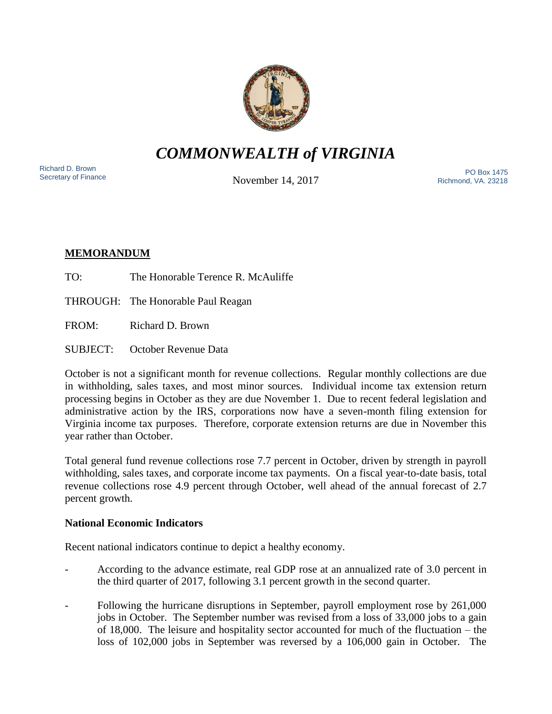

*COMMONWEALTH of VIRGINIA*

Richard D. Brown<br>Secretary of Finance

November 14, 2017

Nichard D. Brown<br>Secretary of Finance **Secretary of Finance** PO Box 1475 Richmond, VA. 23218

# **MEMORANDUM**

TO: The Honorable Terence R. McAuliffe

THROUGH: The Honorable Paul Reagan

FROM: Richard D. Brown

SUBJECT: October Revenue Data

October is not a significant month for revenue collections. Regular monthly collections are due in withholding, sales taxes, and most minor sources. Individual income tax extension return processing begins in October as they are due November 1. Due to recent federal legislation and administrative action by the IRS, corporations now have a seven-month filing extension for Virginia income tax purposes. Therefore, corporate extension returns are due in November this year rather than October.

Total general fund revenue collections rose 7.7 percent in October, driven by strength in payroll withholding, sales taxes, and corporate income tax payments. On a fiscal year-to-date basis, total revenue collections rose 4.9 percent through October, well ahead of the annual forecast of 2.7 percent growth.

## **National Economic Indicators**

Recent national indicators continue to depict a healthy economy.

- According to the advance estimate, real GDP rose at an annualized rate of 3.0 percent in the third quarter of 2017, following 3.1 percent growth in the second quarter.
- Following the hurricane disruptions in September, payroll employment rose by 261,000 jobs in October. The September number was revised from a loss of 33,000 jobs to a gain of 18,000. The leisure and hospitality sector accounted for much of the fluctuation – the loss of 102,000 jobs in September was reversed by a 106,000 gain in October. The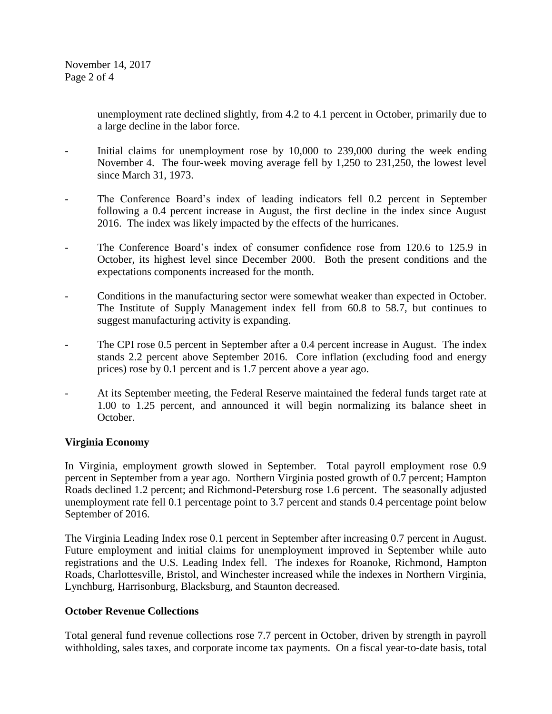unemployment rate declined slightly, from 4.2 to 4.1 percent in October, primarily due to a large decline in the labor force.

- Initial claims for unemployment rose by 10,000 to 239,000 during the week ending November 4. The four-week moving average fell by 1,250 to 231,250, the lowest level since March 31, 1973.
- The Conference Board's index of leading indicators fell 0.2 percent in September following a 0.4 percent increase in August, the first decline in the index since August 2016. The index was likely impacted by the effects of the hurricanes.
- The Conference Board's index of consumer confidence rose from 120.6 to 125.9 in October, its highest level since December 2000. Both the present conditions and the expectations components increased for the month.
- Conditions in the manufacturing sector were somewhat weaker than expected in October. The Institute of Supply Management index fell from 60.8 to 58.7, but continues to suggest manufacturing activity is expanding.
- The CPI rose 0.5 percent in September after a 0.4 percent increase in August. The index stands 2.2 percent above September 2016. Core inflation (excluding food and energy prices) rose by 0.1 percent and is 1.7 percent above a year ago.
- At its September meeting, the Federal Reserve maintained the federal funds target rate at 1.00 to 1.25 percent, and announced it will begin normalizing its balance sheet in October.

## **Virginia Economy**

In Virginia, employment growth slowed in September. Total payroll employment rose 0.9 percent in September from a year ago. Northern Virginia posted growth of 0.7 percent; Hampton Roads declined 1.2 percent; and Richmond-Petersburg rose 1.6 percent. The seasonally adjusted unemployment rate fell 0.1 percentage point to 3.7 percent and stands 0.4 percentage point below September of 2016.

The Virginia Leading Index rose 0.1 percent in September after increasing 0.7 percent in August. Future employment and initial claims for unemployment improved in September while auto registrations and the U.S. Leading Index fell. The indexes for Roanoke, Richmond, Hampton Roads, Charlottesville, Bristol, and Winchester increased while the indexes in Northern Virginia, Lynchburg, Harrisonburg, Blacksburg, and Staunton decreased.

### **October Revenue Collections**

Total general fund revenue collections rose 7.7 percent in October, driven by strength in payroll withholding, sales taxes, and corporate income tax payments. On a fiscal year-to-date basis, total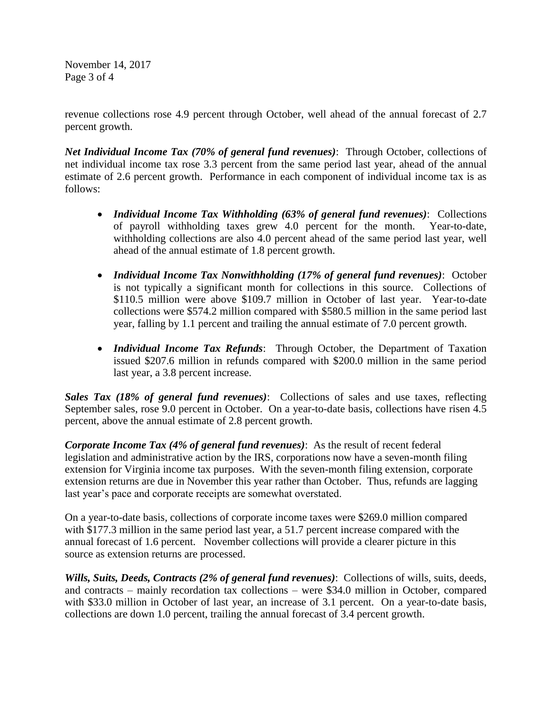November 14, 2017 Page 3 of 4

revenue collections rose 4.9 percent through October, well ahead of the annual forecast of 2.7 percent growth.

*Net Individual Income Tax (70% of general fund revenues)*: Through October, collections of net individual income tax rose 3.3 percent from the same period last year, ahead of the annual estimate of 2.6 percent growth. Performance in each component of individual income tax is as follows:

- *Individual Income Tax Withholding (63% of general fund revenues)*: Collections of payroll withholding taxes grew 4.0 percent for the month. Year-to-date, withholding collections are also 4.0 percent ahead of the same period last year, well ahead of the annual estimate of 1.8 percent growth.
- *Individual Income Tax Nonwithholding (17% of general fund revenues)*: October is not typically a significant month for collections in this source. Collections of \$110.5 million were above \$109.7 million in October of last year. Year-to-date collections were \$574.2 million compared with \$580.5 million in the same period last year, falling by 1.1 percent and trailing the annual estimate of 7.0 percent growth.
- *Individual Income Tax Refunds*: Through October, the Department of Taxation issued \$207.6 million in refunds compared with \$200.0 million in the same period last year, a 3.8 percent increase.

*Sales Tax (18% of general fund revenues)*: Collections of sales and use taxes, reflecting September sales, rose 9.0 percent in October. On a year-to-date basis, collections have risen 4.5 percent, above the annual estimate of 2.8 percent growth.

*Corporate Income Tax (4% of general fund revenues)*: As the result of recent federal legislation and administrative action by the IRS, corporations now have a seven-month filing extension for Virginia income tax purposes. With the seven-month filing extension, corporate extension returns are due in November this year rather than October. Thus, refunds are lagging last year's pace and corporate receipts are somewhat overstated.

On a year-to-date basis, collections of corporate income taxes were \$269.0 million compared with \$177.3 million in the same period last year, a 51.7 percent increase compared with the annual forecast of 1.6 percent. November collections will provide a clearer picture in this source as extension returns are processed.

*Wills, Suits, Deeds, Contracts (2% of general fund revenues)*: Collections of wills, suits, deeds, and contracts – mainly recordation tax collections – were \$34.0 million in October, compared with \$33.0 million in October of last year, an increase of 3.1 percent. On a year-to-date basis, collections are down 1.0 percent, trailing the annual forecast of 3.4 percent growth.